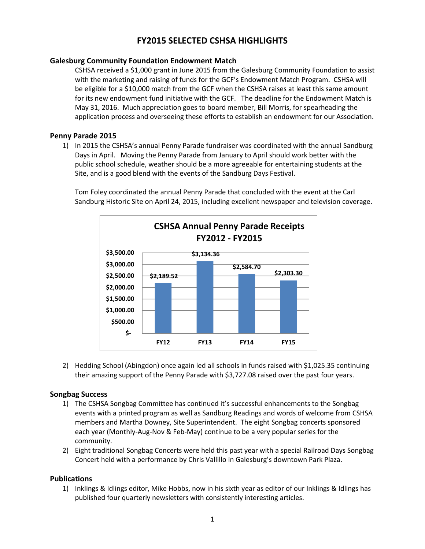# **FY2015 SELECTED CSHSA HIGHLIGHTS**

## **Galesburg Community Foundation Endowment Match**

CSHSA received a \$1,000 grant in June 2015 from the Galesburg Community Foundation to assist with the marketing and raising of funds for the GCF's Endowment Match Program. CSHSA will be eligible for a \$10,000 match from the GCF when the CSHSA raises at least this same amount for its new endowment fund initiative with the GCF. The deadline for the Endowment Match is May 31, 2016. Much appreciation goes to board member, Bill Morris, for spearheading the application process and overseeing these efforts to establish an endowment for our Association.

#### **Penny Parade 2015**

1) In 2015 the CSHSA's annual Penny Parade fundraiser was coordinated with the annual Sandburg Days in April. Moving the Penny Parade from January to April should work better with the public school schedule, weather should be a more agreeable for entertaining students at the Site, and is a good blend with the events of the Sandburg Days Festival.

Tom Foley coordinated the annual Penny Parade that concluded with the event at the Carl Sandburg Historic Site on April 24, 2015, including excellent newspaper and television coverage.



2) Hedding School (Abingdon) once again led all schools in funds raised with \$1,025.35 continuing their amazing support of the Penny Parade with \$3,727.08 raised over the past four years.

# **Songbag Success**

- 1) The CSHSA Songbag Committee has continued it's successful enhancements to the Songbag events with a printed program as well as Sandburg Readings and words of welcome from CSHSA members and Martha Downey, Site Superintendent. The eight Songbag concerts sponsored each year (Monthly-Aug-Nov & Feb-May) continue to be a very popular series for the community.
- 2) Eight traditional Songbag Concerts were held this past year with a special Railroad Days Songbag Concert held with a performance by Chris Vallillo in Galesburg's downtown Park Plaza.

# **Publications**

1) Inklings & Idlings editor, Mike Hobbs, now in his sixth year as editor of our Inklings & Idlings has published four quarterly newsletters with consistently interesting articles.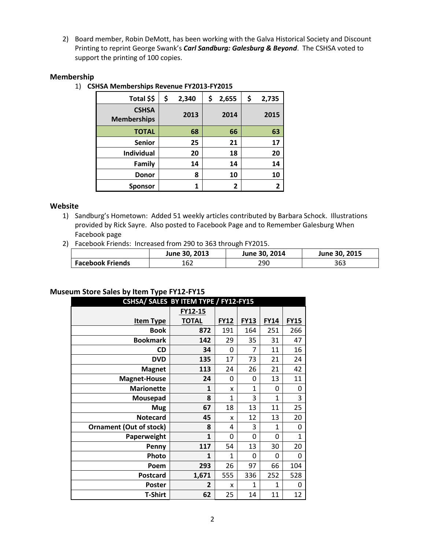2) Board member, Robin DeMott, has been working with the Galva Historical Society and Discount Printing to reprint George Swank's *Carl Sandburg: Galesburg & Beyond*. The CSHSA voted to support the printing of 100 copies.

## **Membership**

1) **CSHSA Memberships Revenue FY2013-FY2015**

| Total \$\$                         | \$<br>2,340 | \$ | 2,655 | \$<br>2,735 |
|------------------------------------|-------------|----|-------|-------------|
| <b>CSHSA</b><br><b>Memberships</b> | 2013        |    | 2014  | 2015        |
| <b>TOTAL</b>                       | 68          |    | 66    | 63          |
| <b>Senior</b>                      | 25          |    | 21    | 17          |
| <b>Individual</b>                  | 20          |    | 18    | 20          |
| <b>Family</b>                      | 14          | 14 |       | 14          |
| <b>Donor</b>                       | 8           | 10 |       | 10          |
| <b>Sponsor</b>                     | 1           | 2  |       |             |

## **Website**

- 1) Sandburg's Hometown: Added 51 weekly articles contributed by Barbara Schock. Illustrations provided by Rick Sayre. Also posted to Facebook Page and to Remember Galesburg When Facebook page
- 2) Facebook Friends: Increased from 290 to 363 through FY2015.

|                         | June 30, 2013 | June 30, 2014 | June 30, 2015 |
|-------------------------|---------------|---------------|---------------|
| <b>Facebook Friends</b> | 162           | 290           | 363           |

# **Museum Store Sales by Item Type FY12-FY15**

| CSHSA/ SALES BY ITEM TYPE / FY12-FY15 |              |              |              |              |             |  |  |  |  |
|---------------------------------------|--------------|--------------|--------------|--------------|-------------|--|--|--|--|
|                                       | FY12-15      |              |              |              |             |  |  |  |  |
| <b>Item Type</b>                      | <b>TOTAL</b> | <b>FY12</b>  | <b>FY13</b>  | <b>FY14</b>  | <b>FY15</b> |  |  |  |  |
| <b>Book</b>                           | 872          | 191          | 164          | 251          | 266         |  |  |  |  |
| <b>Bookmark</b>                       | 142          | 29           | 35           | 31           | 47          |  |  |  |  |
| <b>CD</b>                             | 34           | 0            | 7            | 11           | 16          |  |  |  |  |
| <b>DVD</b>                            | 135          | 17           | 73           | 21           | 24          |  |  |  |  |
| <b>Magnet</b>                         | 113          | 24           | 26           | 21           | 42          |  |  |  |  |
| <b>Magnet-House</b>                   | 24           | 0            | 0            | 13           | 11          |  |  |  |  |
| <b>Marionette</b>                     | $\mathbf{1}$ | X            | $\mathbf{1}$ | 0            | 0           |  |  |  |  |
| Mousepad                              | 8            | 1            | 3            | $\mathbf{1}$ | 3           |  |  |  |  |
| <b>Mug</b>                            | 67           | 18           | 13           | 11           | 25          |  |  |  |  |
| <b>Notecard</b>                       | 45           | X            | 12           | 13           | 20          |  |  |  |  |
| <b>Ornament (Out of stock)</b>        | 8            | 4            | 3            | 1            | 0           |  |  |  |  |
| Paperweight                           | $\mathbf{1}$ | 0            | 0            | 0            | $\mathbf 1$ |  |  |  |  |
| Penny                                 | 117          | 54           | 13           | 30           | 20          |  |  |  |  |
| Photo                                 | $\mathbf{1}$ | $\mathbf{1}$ | 0            | 0            | 0           |  |  |  |  |
| Poem                                  | 293          | 26           | 97           | 66           | 104         |  |  |  |  |
| <b>Postcard</b>                       | 1,671        | 555          | 336          | 252          | 528         |  |  |  |  |
| <b>Poster</b>                         | 2            | x            | $\mathbf{1}$ | 1            | 0           |  |  |  |  |
| <b>T-Shirt</b>                        | 62           | 25           | 14           | 11           | 12          |  |  |  |  |